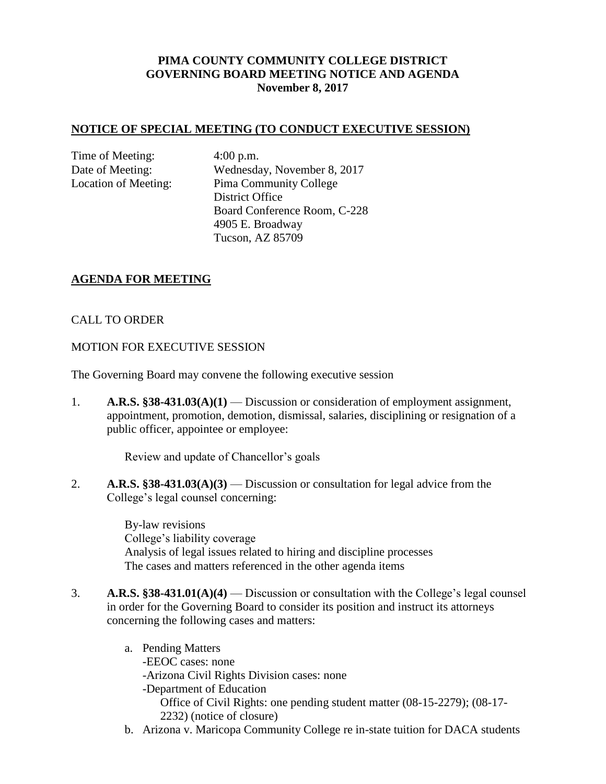# **PIMA COUNTY COMMUNITY COLLEGE DISTRICT GOVERNING BOARD MEETING NOTICE AND AGENDA November 8, 2017**

#### **NOTICE OF SPECIAL MEETING (TO CONDUCT EXECUTIVE SESSION)**

Time of Meeting: 4:00 p.m.

Date of Meeting: Wednesday, November 8, 2017 Location of Meeting: Pima Community College District Office Board Conference Room, C-228 4905 E. Broadway Tucson, AZ 85709

### **AGENDA FOR MEETING**

### CALL TO ORDER

#### MOTION FOR EXECUTIVE SESSION

The Governing Board may convene the following executive session

1. **A.R.S. §38-431.03(A)(1)** — Discussion or consideration of employment assignment, appointment, promotion, demotion, dismissal, salaries, disciplining or resignation of a public officer, appointee or employee:

Review and update of Chancellor's goals

2. **A.R.S. §38-431.03(A)(3)** — Discussion or consultation for legal advice from the College's legal counsel concerning:

> By-law revisions College's liability coverage Analysis of legal issues related to hiring and discipline processes The cases and matters referenced in the other agenda items

- 3. **A.R.S. §38-431.01(A)(4)** Discussion or consultation with the College's legal counsel in order for the Governing Board to consider its position and instruct its attorneys concerning the following cases and matters:
	- a. Pending Matters -EEOC cases: none -Arizona Civil Rights Division cases: none -Department of Education Office of Civil Rights: one pending student matter (08-15-2279); (08-17- 2232) (notice of closure)
	- b. Arizona v. Maricopa Community College re in-state tuition for DACA students